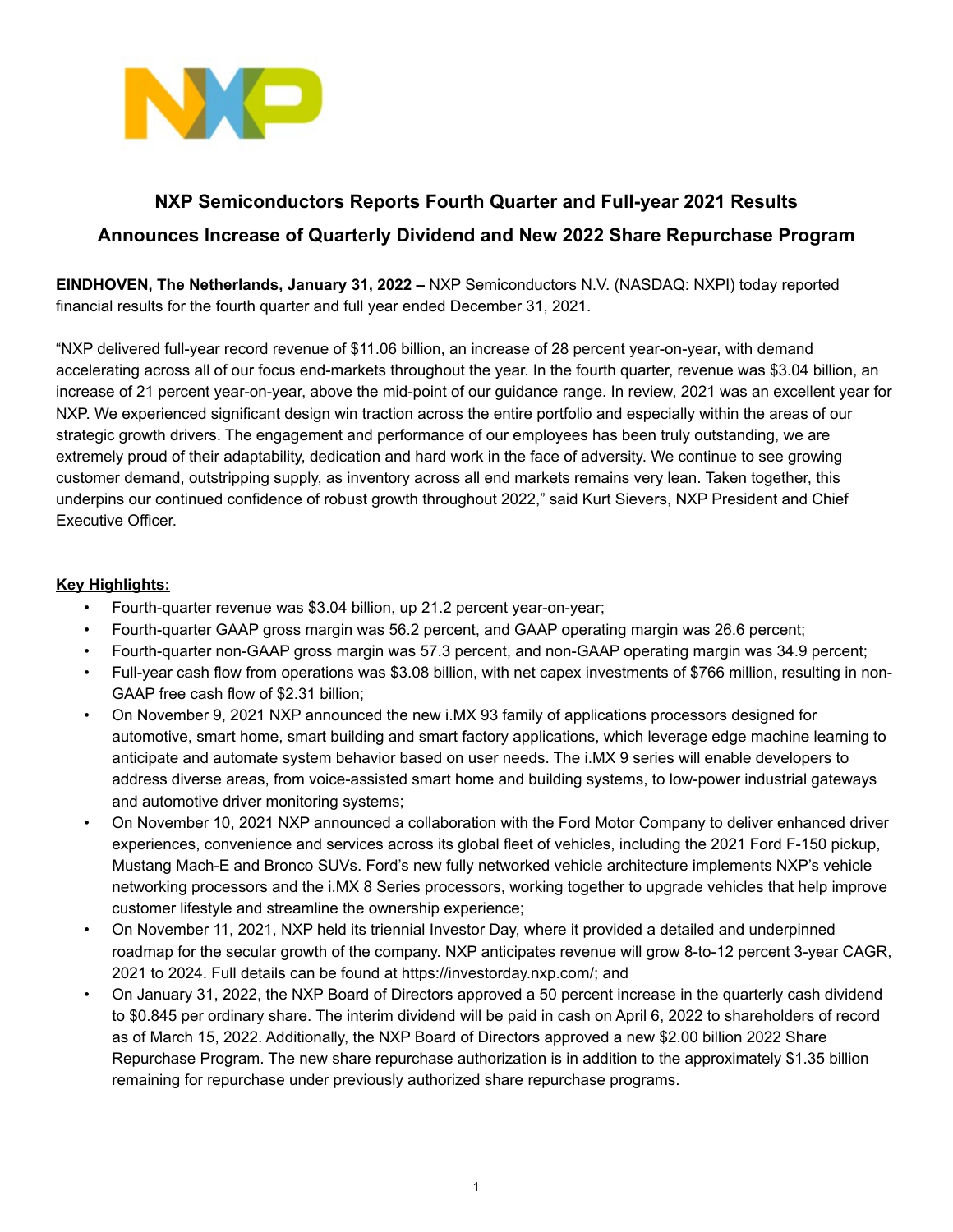

# **NXP Semiconductors Reports Fourth Quarter and Full-year 2021 Results Announces Increase of Quarterly Dividend and New 2022 Share Repurchase Program**

**EINDHOVEN, The Netherlands, January 31, 2022 –** NXP Semiconductors N.V. (NASDAQ: NXPI) today reported financial results for the fourth quarter and full year ended December 31, 2021.

"NXP delivered full-year record revenue of \$11.06 billion, an increase of 28 percent year-on-year, with demand accelerating across all of our focus end-markets throughout the year. In the fourth quarter, revenue was \$3.04 billion, an increase of 21 percent year-on-year, above the mid-point of our guidance range. In review, 2021 was an excellent year for NXP. We experienced significant design win traction across the entire portfolio and especially within the areas of our strategic growth drivers. The engagement and performance of our employees has been truly outstanding, we are extremely proud of their adaptability, dedication and hard work in the face of adversity. We continue to see growing customer demand, outstripping supply, as inventory across all end markets remains very lean. Taken together, this underpins our continued confidence of robust growth throughout 2022," said Kurt Sievers, NXP President and Chief Executive Officer.

### **Key Highlights:**

- Fourth-quarter revenue was \$3.04 billion, up 21.2 percent year-on-year;
- Fourth-quarter GAAP gross margin was 56.2 percent, and GAAP operating margin was 26.6 percent;
- Fourth-quarter non-GAAP gross margin was 57.3 percent, and non-GAAP operating margin was 34.9 percent;
- Full-year cash flow from operations was \$3.08 billion, with net capex investments of \$766 million, resulting in non-GAAP free cash flow of \$2.31 billion;
- On November 9, 2021 NXP announced the new i.MX 93 family of applications processors designed for automotive, smart home, smart building and smart factory applications, which leverage edge machine learning to anticipate and automate system behavior based on user needs. The i.MX 9 series will enable developers to address diverse areas, from voice-assisted smart home and building systems, to low-power industrial gateways and automotive driver monitoring systems;
- On November 10, 2021 NXP announced a collaboration with the Ford Motor Company to deliver enhanced driver experiences, convenience and services across its global fleet of vehicles, including the 2021 Ford F-150 pickup, Mustang Mach-E and Bronco SUVs. Ford's new fully networked vehicle architecture implements NXP's vehicle networking processors and the i.MX 8 Series processors, working together to upgrade vehicles that help improve customer lifestyle and streamline the ownership experience;
- On November 11, 2021, NXP held its triennial Investor Day, where it provided a detailed and underpinned roadmap for the secular growth of the company. NXP anticipates revenue will grow 8-to-12 percent 3-year CAGR, 2021 to 2024. Full details can be found at https://investorday.nxp.com/; and
- On January 31, 2022, the NXP Board of Directors approved a 50 percent increase in the quarterly cash dividend to \$0.845 per ordinary share. The interim dividend will be paid in cash on April 6, 2022 to shareholders of record as of March 15, 2022. Additionally, the NXP Board of Directors approved a new \$2.00 billion 2022 Share Repurchase Program. The new share repurchase authorization is in addition to the approximately \$1.35 billion remaining for repurchase under previously authorized share repurchase programs.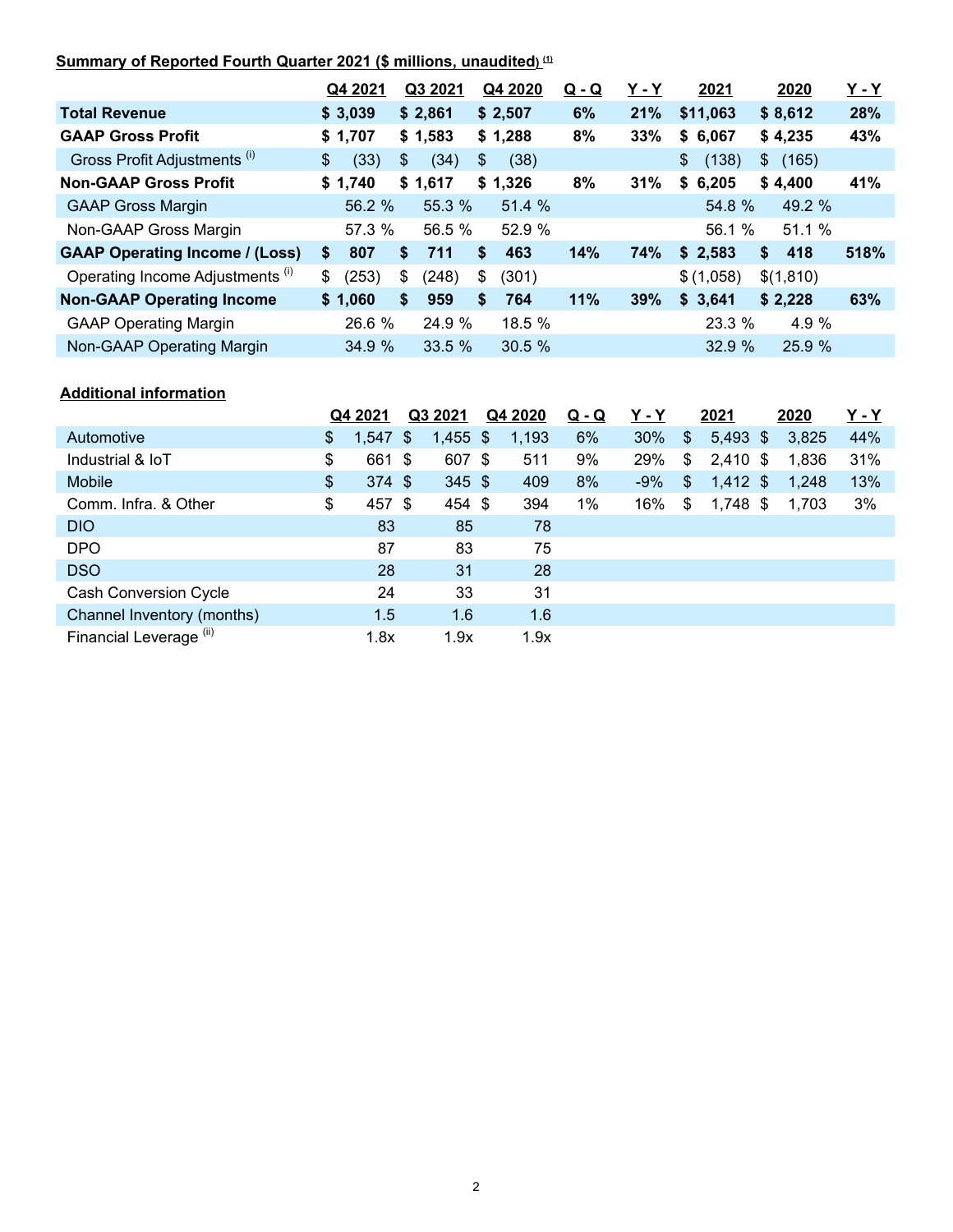# **Summary of Reported Fourth Quarter 2021 (\$ millions, unaudited) (1)**

|                                         | Q4 2021     |         | Q3 2021 | Q4 2020     | <u>Q - Q</u> | Y - Y | 2021        | 2020                   | <u>Y - Y</u> |
|-----------------------------------------|-------------|---------|---------|-------------|--------------|-------|-------------|------------------------|--------------|
| <b>Total Revenue</b>                    | \$3,039     | \$2,861 |         | \$2,507     | 6%           | 21%   | \$11,063    | \$8,612                | 28%          |
| <b>GAAP Gross Profit</b>                | \$1,707     | \$1,583 |         | \$1,288     | 8%           | 33%   | \$6,067     | \$4,235                | 43%          |
| Gross Profit Adjustments <sup>(i)</sup> | (33)<br>\$  | \$      | (34)    | \$<br>(38)  |              |       | \$<br>(138) | (165)<br>$\mathcal{S}$ |              |
| <b>Non-GAAP Gross Profit</b>            | \$1,740     | \$1,617 |         | \$1,326     | 8%           | 31%   | \$6,205     | \$4,400                | 41%          |
| <b>GAAP Gross Margin</b>                | 56.2 %      |         | 55.3 %  | 51.4 %      |              |       | 54.8 %      | 49.2 %                 |              |
| Non-GAAP Gross Margin                   | 57.3 %      |         | 56.5 %  | 52.9 %      |              |       | 56.1 %      | 51.1 %                 |              |
| <b>GAAP Operating Income / (Loss)</b>   | \$<br>807   | \$      | 711     | \$<br>463   | 14%          | 74%   | \$2,583     | 418<br>$\mathbf{s}$    | 518%         |
| Operating Income Adjustments (i)        | \$<br>(253) | \$      | (248)   | \$<br>(301) |              |       | \$(1,058)   | \$(1,810)              |              |
| <b>Non-GAAP Operating Income</b>        | \$1,060     | \$      | 959     | \$<br>764   | 11%          | 39%   | \$3,641     | \$2,228                | 63%          |
| <b>GAAP Operating Margin</b>            | 26.6 %      |         | 24.9 %  | 18.5 %      |              |       | 23.3 %      | 4.9 %                  |              |
| Non-GAAP Operating Margin               | 34.9 %      |         | 33.5 %  | 30.5%       |              |       | 32.9%       | 25.9 %                 |              |

# **Additional information**

|                                    |                | Q4 2021 |                | Q3 2021    | Q4 2020 | $Q - Q$ | Y - Y |                | 2021       |    | 2020  | <b>Y</b> - Y |
|------------------------------------|----------------|---------|----------------|------------|---------|---------|-------|----------------|------------|----|-------|--------------|
| Automotive                         | \$             | 1,547   | $\mathfrak{L}$ | $1,455$ \$ | 1,193   | 6%      | 30%   | $\mathfrak{S}$ | 5,493      | -S | 3,825 | 44%          |
| Industrial & IoT                   | \$             | 661 \$  |                | 607 \$     | 511     | 9%      | 29%   | \$             | 2,410      | \$ | 1,836 | 31%          |
| Mobile                             | $\mathfrak{F}$ | 374S    |                | $345$ \$   | 409     | 8%      | $-9%$ | $\mathfrak{F}$ | 1,412      | \$ | 1,248 | 13%          |
| Comm. Infra. & Other               | \$             | 457 \$  |                | 454 \$     | 394     | 1%      | 16%   | \$             | $1,748$ \$ |    | 1,703 | 3%           |
| <b>DIO</b>                         |                | 83      |                | 85         | 78      |         |       |                |            |    |       |              |
| <b>DPO</b>                         |                | 87      |                | 83         | 75      |         |       |                |            |    |       |              |
| <b>DSO</b>                         |                | 28      |                | 31         | 28      |         |       |                |            |    |       |              |
| <b>Cash Conversion Cycle</b>       |                | 24      |                | 33         | 31      |         |       |                |            |    |       |              |
| Channel Inventory (months)         |                | 1.5     |                | 1.6        | 1.6     |         |       |                |            |    |       |              |
| Financial Leverage <sup>(ii)</sup> |                | 1.8x    |                | 1.9x       | 1.9x    |         |       |                |            |    |       |              |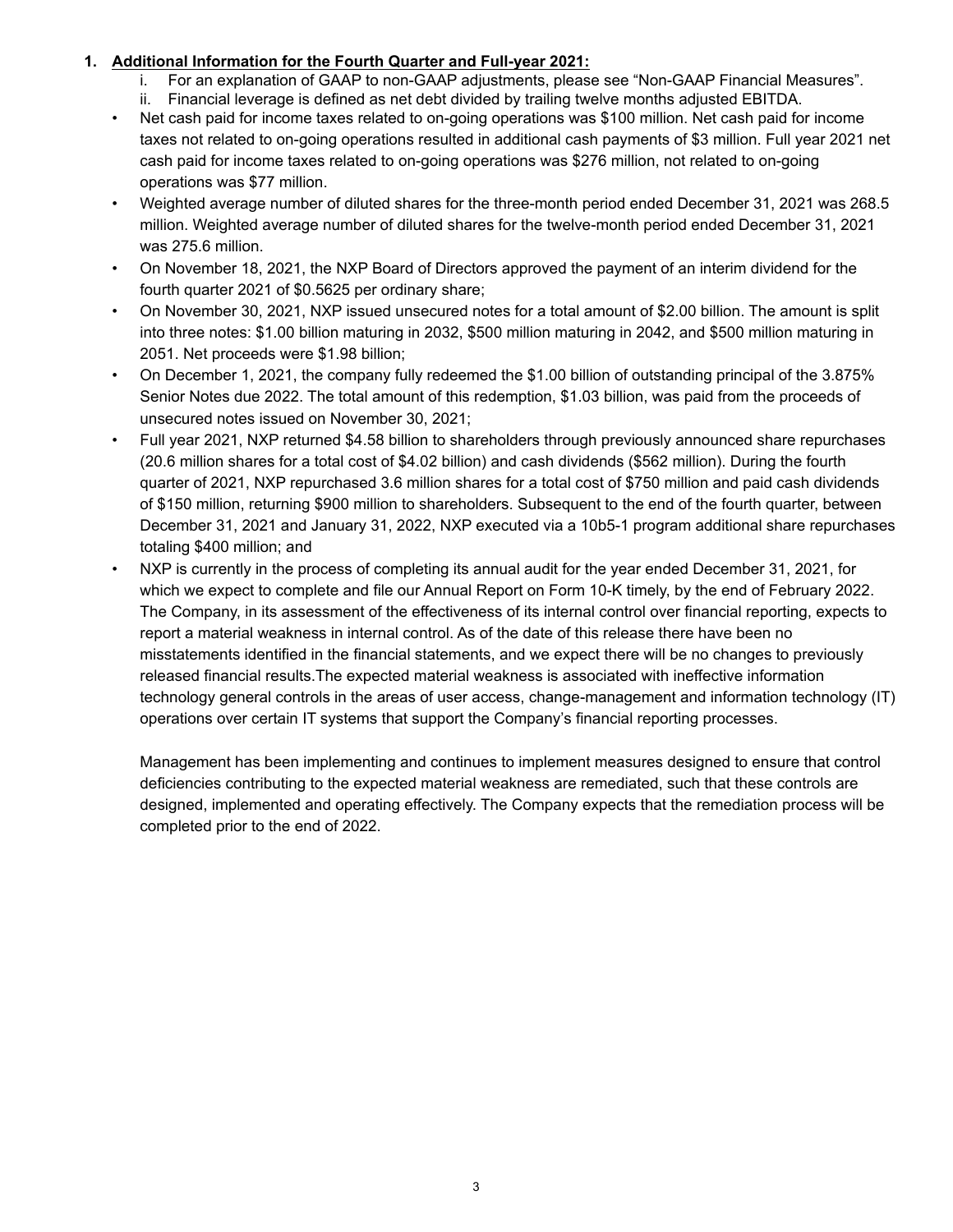# **1. Additional Information for the Fourth Quarter and Full-year 2021:**

- i. For an explanation of GAAP to non-GAAP adjustments, please see "Non-GAAP Financial Measures".
- ii. Financial leverage is defined as net debt divided by trailing twelve months adjusted EBITDA.
- Net cash paid for income taxes related to on-going operations was \$100 million. Net cash paid for income taxes not related to on-going operations resulted in additional cash payments of \$3 million. Full year 2021 net cash paid for income taxes related to on-going operations was \$276 million, not related to on-going operations was \$77 million.
- Weighted average number of diluted shares for the three-month period ended December 31, 2021 was 268.5 million. Weighted average number of diluted shares for the twelve-month period ended December 31, 2021 was 275.6 million.
- On November 18, 2021, the NXP Board of Directors approved the payment of an interim dividend for the fourth quarter 2021 of \$0.5625 per ordinary share;
- On November 30, 2021, NXP issued unsecured notes for a total amount of \$2.00 billion. The amount is split into three notes: \$1.00 billion maturing in 2032, \$500 million maturing in 2042, and \$500 million maturing in 2051. Net proceeds were \$1.98 billion;
- On December 1, 2021, the company fully redeemed the \$1.00 billion of outstanding principal of the 3.875% Senior Notes due 2022. The total amount of this redemption, \$1.03 billion, was paid from the proceeds of unsecured notes issued on November 30, 2021;
- Full year 2021, NXP returned \$4.58 billion to shareholders through previously announced share repurchases (20.6 million shares for a total cost of \$4.02 billion) and cash dividends (\$562 million). During the fourth quarter of 2021, NXP repurchased 3.6 million shares for a total cost of \$750 million and paid cash dividends of \$150 million, returning \$900 million to shareholders. Subsequent to the end of the fourth quarter, between December 31, 2021 and January 31, 2022, NXP executed via a 10b5-1 program additional share repurchases totaling \$400 million; and
- NXP is currently in the process of completing its annual audit for the year ended December 31, 2021, for which we expect to complete and file our Annual Report on Form 10-K timely, by the end of February 2022. The Company, in its assessment of the effectiveness of its internal control over financial reporting, expects to report a material weakness in internal control. As of the date of this release there have been no misstatements identified in the financial statements, and we expect there will be no changes to previously released financial results.The expected material weakness is associated with ineffective information technology general controls in the areas of user access, change-management and information technology (IT) operations over certain IT systems that support the Company's financial reporting processes.

Management has been implementing and continues to implement measures designed to ensure that control deficiencies contributing to the expected material weakness are remediated, such that these controls are designed, implemented and operating effectively. The Company expects that the remediation process will be completed prior to the end of 2022.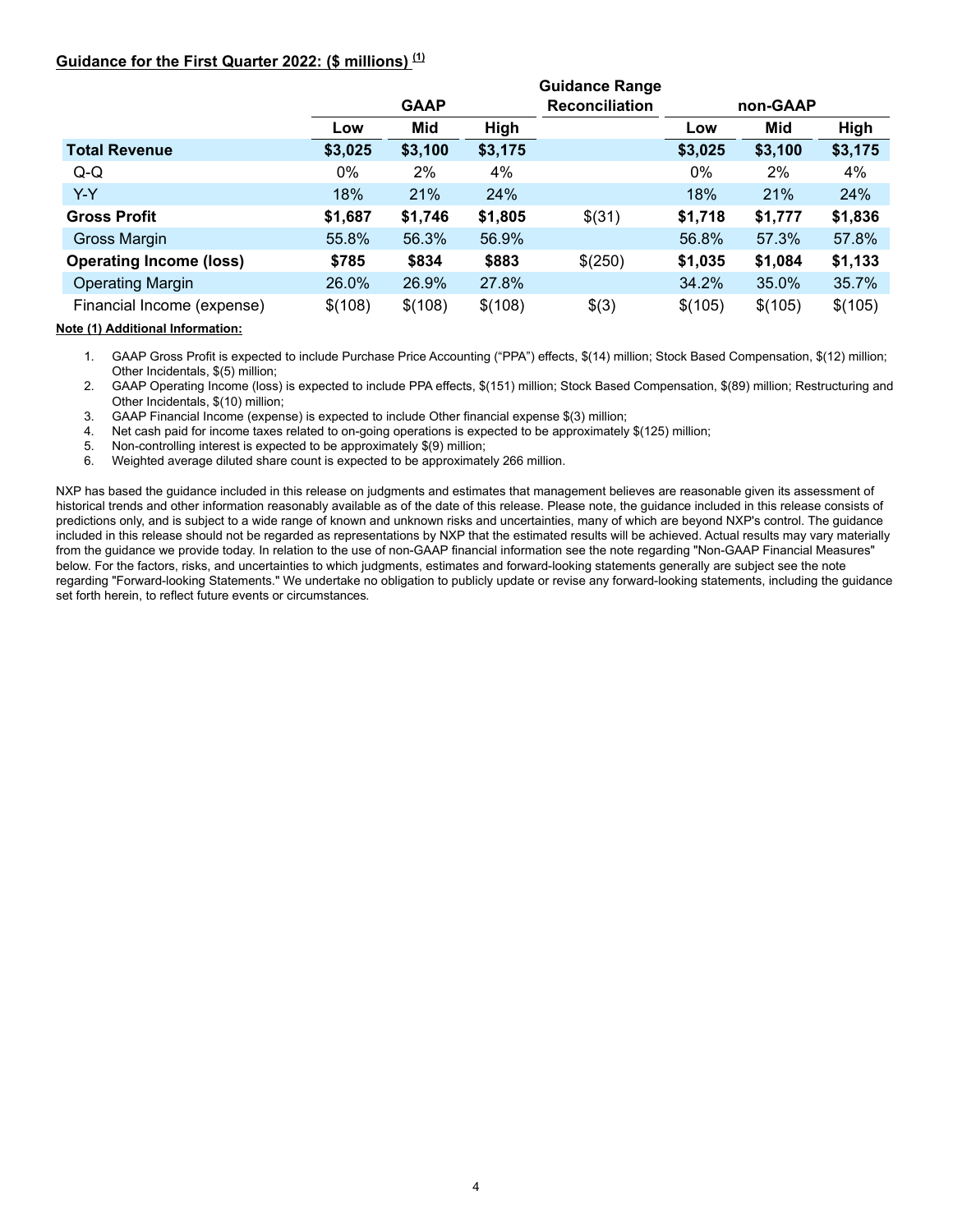### **Guidance for the First Quarter 2022: (\$ millions) (1)**

|                                |         |             |             | <b>Guidance Range</b> |         |          |         |
|--------------------------------|---------|-------------|-------------|-----------------------|---------|----------|---------|
|                                |         | <b>GAAP</b> |             | <b>Reconciliation</b> |         | non-GAAP |         |
|                                | Low     | Mid         | <b>High</b> |                       | Low     | Mid      | High    |
| <b>Total Revenue</b>           | \$3,025 | \$3,100     | \$3,175     |                       | \$3,025 | \$3,100  | \$3,175 |
| $Q-Q$                          | $0\%$   | 2%          | 4%          |                       | $0\%$   | 2%       | 4%      |
| $Y-Y$                          | 18%     | 21%         | 24%         |                       | 18%     | 21%      | 24%     |
| <b>Gross Profit</b>            | \$1,687 | \$1,746     | \$1,805     | \$(31)                | \$1,718 | \$1,777  | \$1,836 |
| <b>Gross Margin</b>            | 55.8%   | 56.3%       | 56.9%       |                       | 56.8%   | 57.3%    | 57.8%   |
| <b>Operating Income (loss)</b> | \$785   | \$834       | \$883       | \$(250)               | \$1,035 | \$1,084  | \$1,133 |
| <b>Operating Margin</b>        | 26.0%   | 26.9%       | 27.8%       |                       | 34.2%   | 35.0%    | 35.7%   |
| Financial Income (expense)     | \$(108) | \$(108)     | \$(108)     | \$(3)                 | \$(105) | \$(105)  | \$(105) |

**Note (1) Additional Information:**

- 1. GAAP Gross Profit is expected to include Purchase Price Accounting ("PPA") effects, \$(14) million; Stock Based Compensation, \$(12) million; Other Incidentals, \$(5) million;
- 2. GAAP Operating Income (loss) is expected to include PPA effects, \$(151) million; Stock Based Compensation, \$(89) million; Restructuring and Other Incidentals, \$(10) million;
- 3. GAAP Financial Income (expense) is expected to include Other financial expense \$(3) million;
- 4. Net cash paid for income taxes related to on-going operations is expected to be approximately \$(125) million;
- 5. Non-controlling interest is expected to be approximately \$(9) million;<br>6. Weighted average diluted share count is expected to be approximate
- 6. Weighted average diluted share count is expected to be approximately 266 million.

NXP has based the guidance included in this release on judgments and estimates that management believes are reasonable given its assessment of historical trends and other information reasonably available as of the date of this release. Please note, the guidance included in this release consists of predictions only, and is subject to a wide range of known and unknown risks and uncertainties, many of which are beyond NXP's control. The guidance included in this release should not be regarded as representations by NXP that the estimated results will be achieved. Actual results may vary materially from the guidance we provide today. In relation to the use of non-GAAP financial information see the note regarding "Non-GAAP Financial Measures" below. For the factors, risks, and uncertainties to which judgments, estimates and forward-looking statements generally are subject see the note regarding "Forward-looking Statements." We undertake no obligation to publicly update or revise any forward-looking statements, including the guidance set forth herein, to reflect future events or circumstances*.*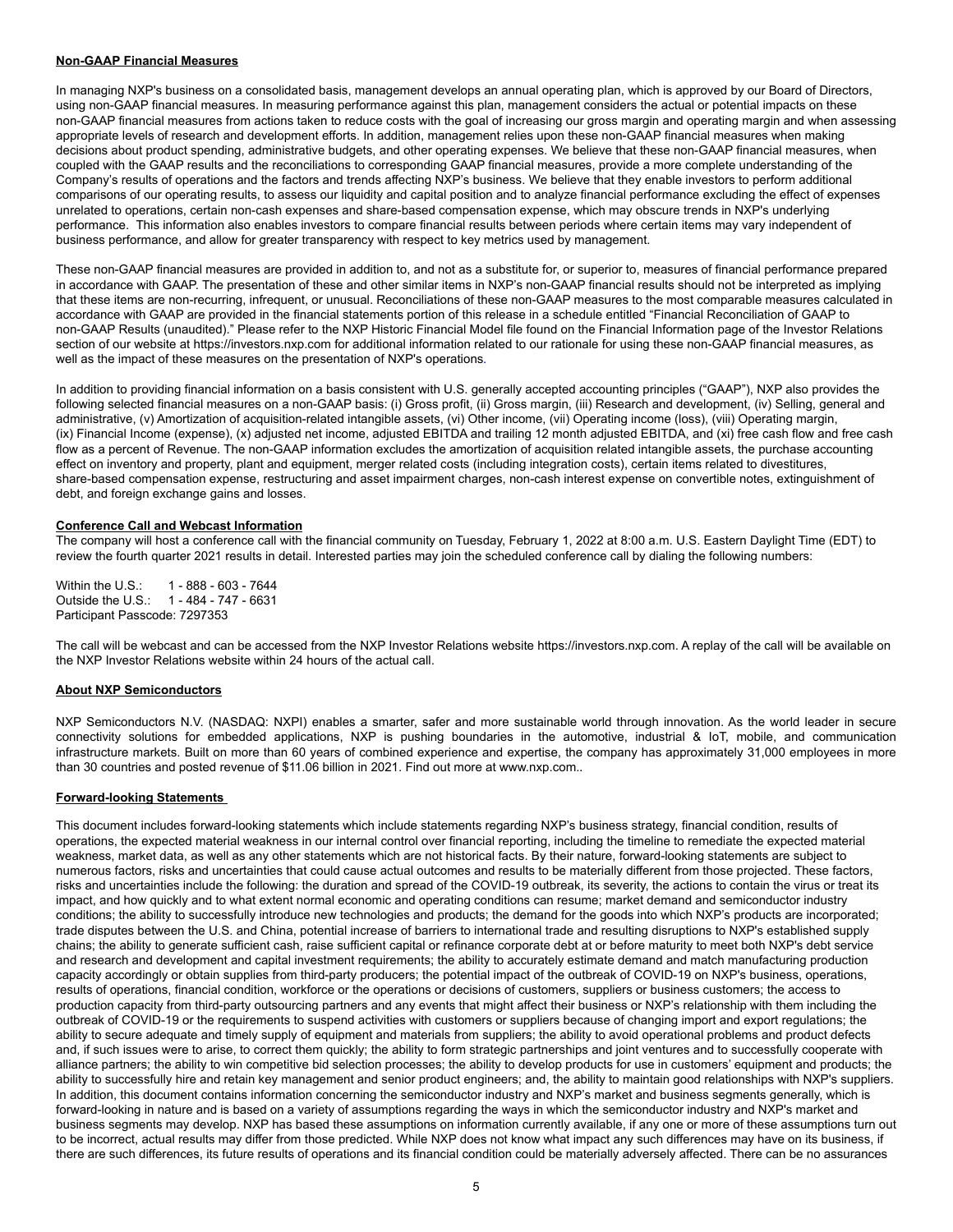#### **Non-GAAP Financial Measures**

In managing NXP's business on a consolidated basis, management develops an annual operating plan, which is approved by our Board of Directors, using non-GAAP financial measures. In measuring performance against this plan, management considers the actual or potential impacts on these non-GAAP financial measures from actions taken to reduce costs with the goal of increasing our gross margin and operating margin and when assessing appropriate levels of research and development efforts. In addition, management relies upon these non-GAAP financial measures when making decisions about product spending, administrative budgets, and other operating expenses. We believe that these non-GAAP financial measures, when coupled with the GAAP results and the reconciliations to corresponding GAAP financial measures, provide a more complete understanding of the Company's results of operations and the factors and trends affecting NXP's business. We believe that they enable investors to perform additional comparisons of our operating results, to assess our liquidity and capital position and to analyze financial performance excluding the effect of expenses unrelated to operations, certain non-cash expenses and share-based compensation expense, which may obscure trends in NXP's underlying performance. This information also enables investors to compare financial results between periods where certain items may vary independent of business performance, and allow for greater transparency with respect to key metrics used by management.

These non-GAAP financial measures are provided in addition to, and not as a substitute for, or superior to, measures of financial performance prepared in accordance with GAAP. The presentation of these and other similar items in NXP's non-GAAP financial results should not be interpreted as implying that these items are non-recurring, infrequent, or unusual. Reconciliations of these non-GAAP measures to the most comparable measures calculated in accordance with GAAP are provided in the financial statements portion of this release in a schedule entitled "Financial Reconciliation of GAAP to non-GAAP Results (unaudited)." Please refer to the NXP Historic Financial Model file found on the Financial Information page of the Investor Relations section of our website at https://investors.nxp.com for additional information related to our rationale for using these non-GAAP financial measures, as well as the impact of these measures on the presentation of NXP's operations.

In addition to providing financial information on a basis consistent with U.S. generally accepted accounting principles ("GAAP"), NXP also provides the following selected financial measures on a non-GAAP basis: (i) Gross profit, (ii) Gross margin, (iii) Research and development, (iv) Selling, general and administrative, (v) Amortization of acquisition-related intangible assets, (vi) Other income, (vii) Operating income (loss), (viii) Operating margin, (ix) Financial Income (expense), (x) adjusted net income, adjusted EBITDA and trailing 12 month adjusted EBITDA, and (xi) free cash flow and free cash flow as a percent of Revenue. The non-GAAP information excludes the amortization of acquisition related intangible assets, the purchase accounting effect on inventory and property, plant and equipment, merger related costs (including integration costs), certain items related to divestitures, share-based compensation expense, restructuring and asset impairment charges, non-cash interest expense on convertible notes, extinguishment of debt, and foreign exchange gains and losses.

#### **Conference Call and Webcast Information**

The company will host a conference call with the financial community on Tuesday, February 1, 2022 at 8:00 a.m. U.S. Eastern Daylight Time (EDT) to review the fourth quarter 2021 results in detail. Interested parties may join the scheduled conference call by dialing the following numbers:

Within the U.S.: 1 - 888 - 603 - 7644 Outside the U.S.: 1 - 484 - 747 - 6631 Participant Passcode: 7297353

The call will be webcast and can be accessed from the NXP Investor Relations website https://investors.nxp.com. A replay of the call will be available on the NXP Investor Relations website within 24 hours of the actual call.

#### **About NXP Semiconductors**

NXP Semiconductors N.V. (NASDAQ: NXPI) enables a smarter, safer and more sustainable world through innovation. As the world leader in secure connectivity solutions for embedded applications, NXP is pushing boundaries in the automotive, industrial & IoT, mobile, and communication infrastructure markets. Built on more than 60 years of combined experience and expertise, the company has approximately 31,000 employees in more than 30 countries and posted revenue of \$11.06 billion in 2021. Find out more at www.nxp.com..

#### **Forward-looking Statements**

This document includes forward-looking statements which include statements regarding NXP's business strategy, financial condition, results of operations, the expected material weakness in our internal control over financial reporting, including the timeline to remediate the expected material weakness, market data, as well as any other statements which are not historical facts. By their nature, forward-looking statements are subject to numerous factors, risks and uncertainties that could cause actual outcomes and results to be materially different from those projected. These factors, risks and uncertainties include the following: the duration and spread of the COVID-19 outbreak, its severity, the actions to contain the virus or treat its impact, and how quickly and to what extent normal economic and operating conditions can resume; market demand and semiconductor industry conditions; the ability to successfully introduce new technologies and products; the demand for the goods into which NXP's products are incorporated; trade disputes between the U.S. and China, potential increase of barriers to international trade and resulting disruptions to NXP's established supply chains; the ability to generate sufficient cash, raise sufficient capital or refinance corporate debt at or before maturity to meet both NXP's debt service and research and development and capital investment requirements; the ability to accurately estimate demand and match manufacturing production capacity accordingly or obtain supplies from third-party producers; the potential impact of the outbreak of COVID-19 on NXP's business, operations, results of operations, financial condition, workforce or the operations or decisions of customers, suppliers or business customers; the access to production capacity from third-party outsourcing partners and any events that might affect their business or NXP's relationship with them including the outbreak of COVID-19 or the requirements to suspend activities with customers or suppliers because of changing import and export regulations; the ability to secure adequate and timely supply of equipment and materials from suppliers; the ability to avoid operational problems and product defects and, if such issues were to arise, to correct them quickly; the ability to form strategic partnerships and joint ventures and to successfully cooperate with alliance partners; the ability to win competitive bid selection processes; the ability to develop products for use in customers' equipment and products; the ability to successfully hire and retain key management and senior product engineers; and, the ability to maintain good relationships with NXP's suppliers. In addition, this document contains information concerning the semiconductor industry and NXP's market and business segments generally, which is forward-looking in nature and is based on a variety of assumptions regarding the ways in which the semiconductor industry and NXP's market and business segments may develop. NXP has based these assumptions on information currently available, if any one or more of these assumptions turn out to be incorrect, actual results may differ from those predicted. While NXP does not know what impact any such differences may have on its business, if there are such differences, its future results of operations and its financial condition could be materially adversely affected. There can be no assurances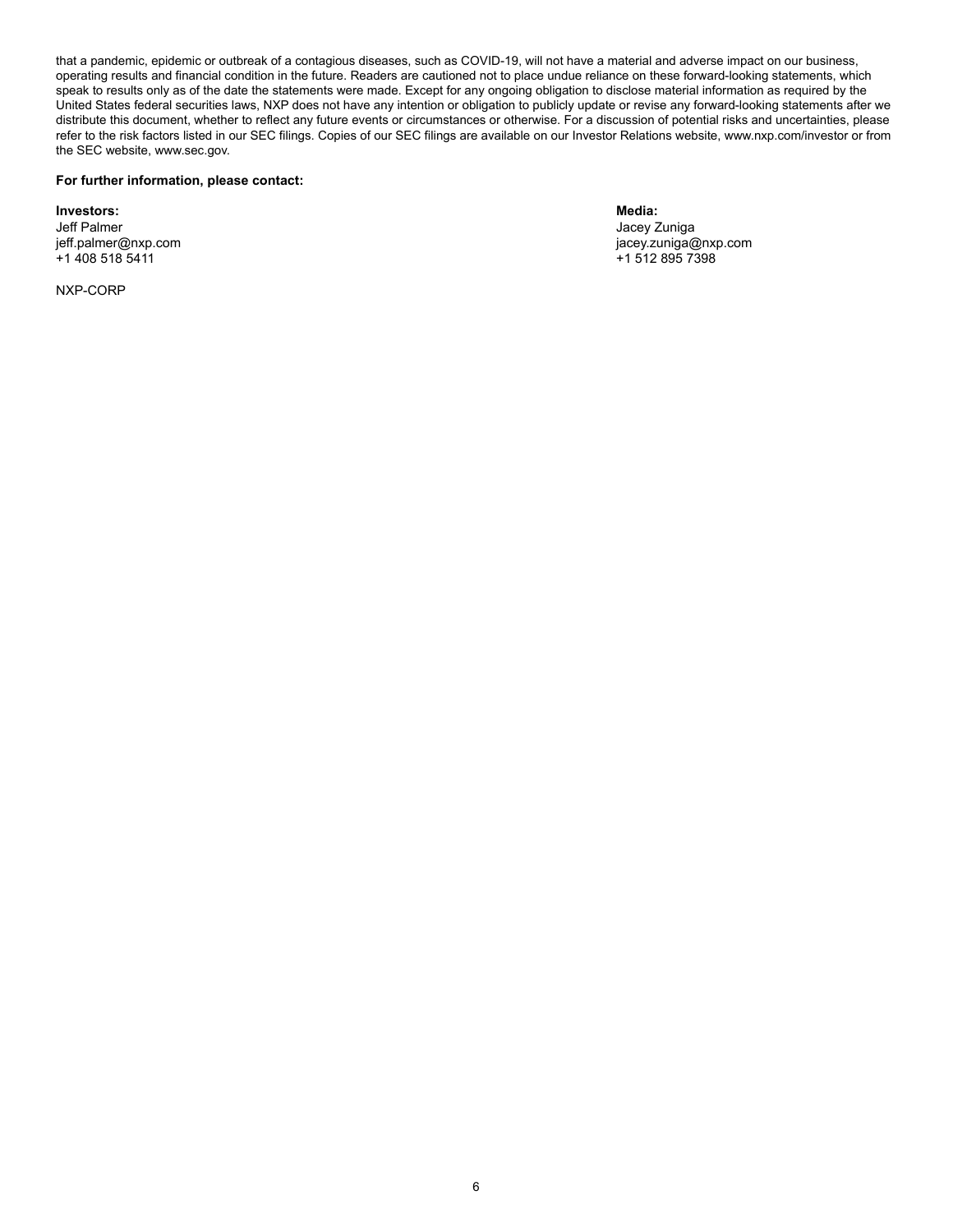that a pandemic, epidemic or outbreak of a contagious diseases, such as COVID-19, will not have a material and adverse impact on our business, operating results and financial condition in the future. Readers are cautioned not to place undue reliance on these forward-looking statements, which speak to results only as of the date the statements were made. Except for any ongoing obligation to disclose material information as required by the United States federal securities laws, NXP does not have any intention or obligation to publicly update or revise any forward-looking statements after we distribute this document, whether to reflect any future events or circumstances or otherwise. For a discussion of potential risks and uncertainties, please refer to the risk factors listed in our SEC filings. Copies of our SEC filings are available on our Investor Relations website, www.nxp.com/investor or from the SEC website, www.sec.gov.

#### **For further information, please contact:**

**Investors: Media:** Jeff Palmer Jacey Zuniga +1 408 518 5411 +1 512 895 7398

jeff.palmer@nxp.com jacey.zuniga@nxp.com

NXP-CORP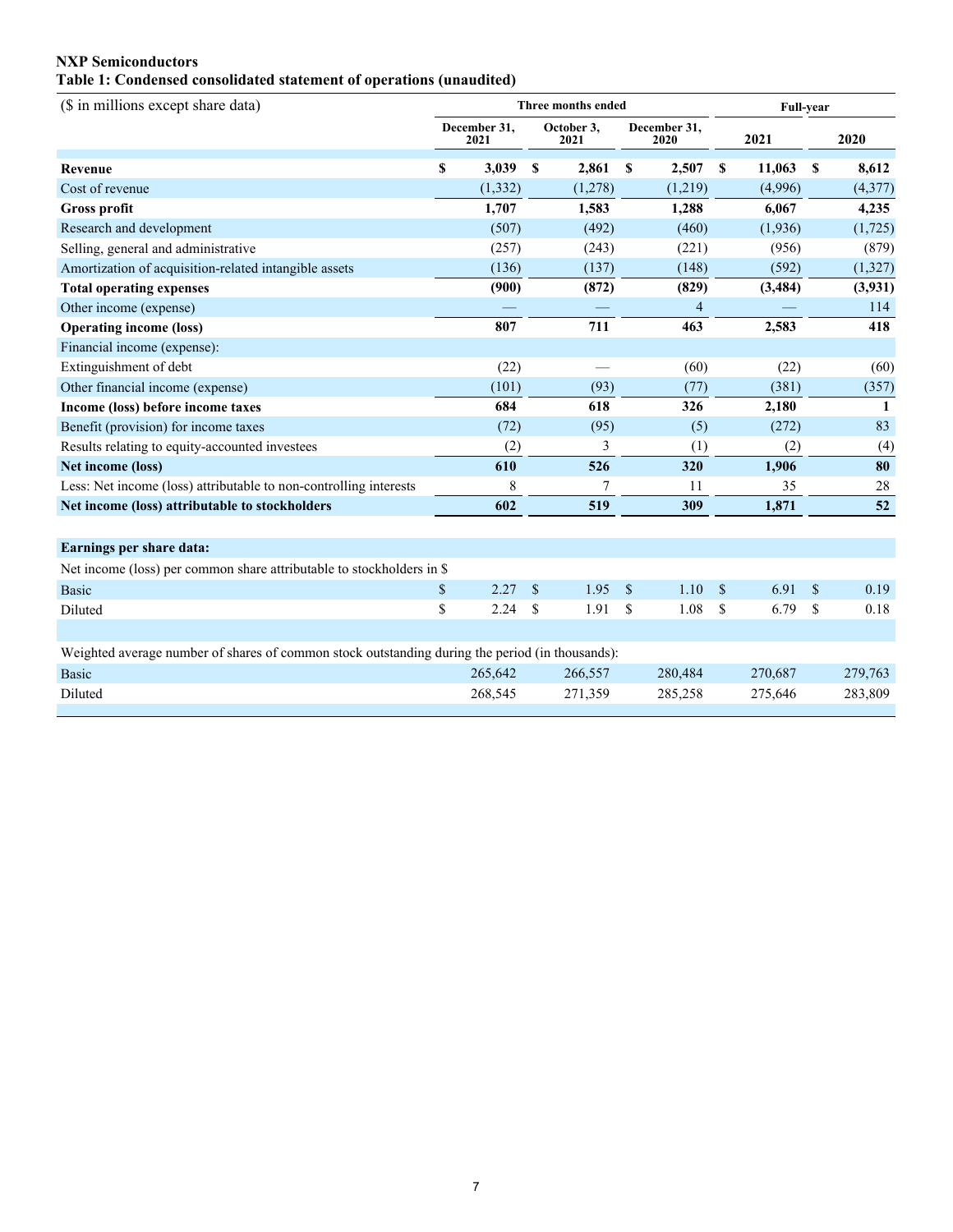# **Table 1: Condensed consolidated statement of operations (unaudited)**

|              |                                                                                   |                              |                                |              | Full-year                                                                                                                                            |                              |                              |              |                     |
|--------------|-----------------------------------------------------------------------------------|------------------------------|--------------------------------|--------------|------------------------------------------------------------------------------------------------------------------------------------------------------|------------------------------|------------------------------|--------------|---------------------|
|              | 2021                                                                              |                              | October 3,<br>2021             |              | 2020                                                                                                                                                 |                              | 2021                         |              | 2020                |
| $\mathbf{s}$ | 3,039                                                                             | S                            | 2,861                          | S            | 2,507                                                                                                                                                | S                            | 11,063                       | S            | 8,612               |
|              | (1, 332)                                                                          |                              | (1,278)                        |              | (1,219)                                                                                                                                              |                              | (4,996)                      |              | (4, 377)            |
|              | 1,707                                                                             |                              | 1,583                          |              | 1,288                                                                                                                                                |                              | 6.067                        |              | 4,235               |
|              | (507)                                                                             |                              | (492)                          |              | (460)                                                                                                                                                |                              | (1,936)                      |              | (1, 725)            |
|              | (257)                                                                             |                              | (243)                          |              | (221)                                                                                                                                                |                              | (956)                        |              | (879)               |
|              | (136)                                                                             |                              | (137)                          |              | (148)                                                                                                                                                |                              | (592)                        |              | (1, 327)            |
|              | (900)                                                                             |                              | (872)                          |              | (829)                                                                                                                                                |                              | (3, 484)                     |              | (3,931)             |
|              |                                                                                   |                              |                                |              | 4                                                                                                                                                    |                              |                              |              | 114                 |
|              | 807                                                                               |                              | 711                            |              | 463                                                                                                                                                  |                              | 2,583                        |              | 418                 |
|              |                                                                                   |                              |                                |              |                                                                                                                                                      |                              |                              |              |                     |
|              | (22)                                                                              |                              |                                |              | (60)                                                                                                                                                 |                              | (22)                         |              | (60)                |
|              | (101)                                                                             |                              | (93)                           |              | (77)                                                                                                                                                 |                              | (381)                        |              | (357)               |
|              | 684                                                                               |                              | 618                            |              | 326                                                                                                                                                  |                              | 2,180                        |              | 1                   |
|              | (72)                                                                              |                              | (95)                           |              | (5)                                                                                                                                                  |                              | (272)                        |              | 83                  |
|              | (2)                                                                               |                              | 3                              |              | (1)                                                                                                                                                  |                              | (2)                          |              | (4)                 |
|              | 610                                                                               |                              | 526                            |              | 320                                                                                                                                                  |                              | 1,906                        |              | 80                  |
|              | 8                                                                                 |                              | 7                              |              | 11                                                                                                                                                   |                              | 35                           |              | 28                  |
|              | 602                                                                               |                              | 519                            |              | 309                                                                                                                                                  |                              | 1,871                        |              | 52                  |
|              |                                                                                   |                              |                                |              |                                                                                                                                                      |                              |                              |              |                     |
|              |                                                                                   |                              |                                |              |                                                                                                                                                      |                              |                              |              |                     |
|              |                                                                                   |                              |                                |              |                                                                                                                                                      |                              |                              |              | 0.19                |
|              |                                                                                   |                              |                                |              |                                                                                                                                                      |                              |                              |              | 0.18                |
|              |                                                                                   |                              |                                |              |                                                                                                                                                      |                              |                              |              |                     |
|              |                                                                                   |                              |                                |              |                                                                                                                                                      |                              |                              |              |                     |
|              | 265,642                                                                           |                              | 266,557                        |              | 280,484                                                                                                                                              |                              | 270,687                      |              | 279,763             |
|              | 268,545                                                                           |                              | 271,359                        |              | 285,258                                                                                                                                              |                              | 275,646                      |              | 283,809             |
|              | Net income (loss) per common share attributable to stockholders in \$<br>\$<br>\$ | December 31,<br>2.27<br>2.24 | $\mathbf{\$}$<br><sup>\$</sup> | 1.95<br>1.91 | Three months ended<br>$\mathbb{S}$<br>$\mathbf S$<br>Weighted average number of shares of common stock outstanding during the period (in thousands): | December 31,<br>1.10<br>1.08 | $\mathcal{S}$<br>$\mathbf S$ | 6.91<br>6.79 | $\mathcal{S}$<br>\$ |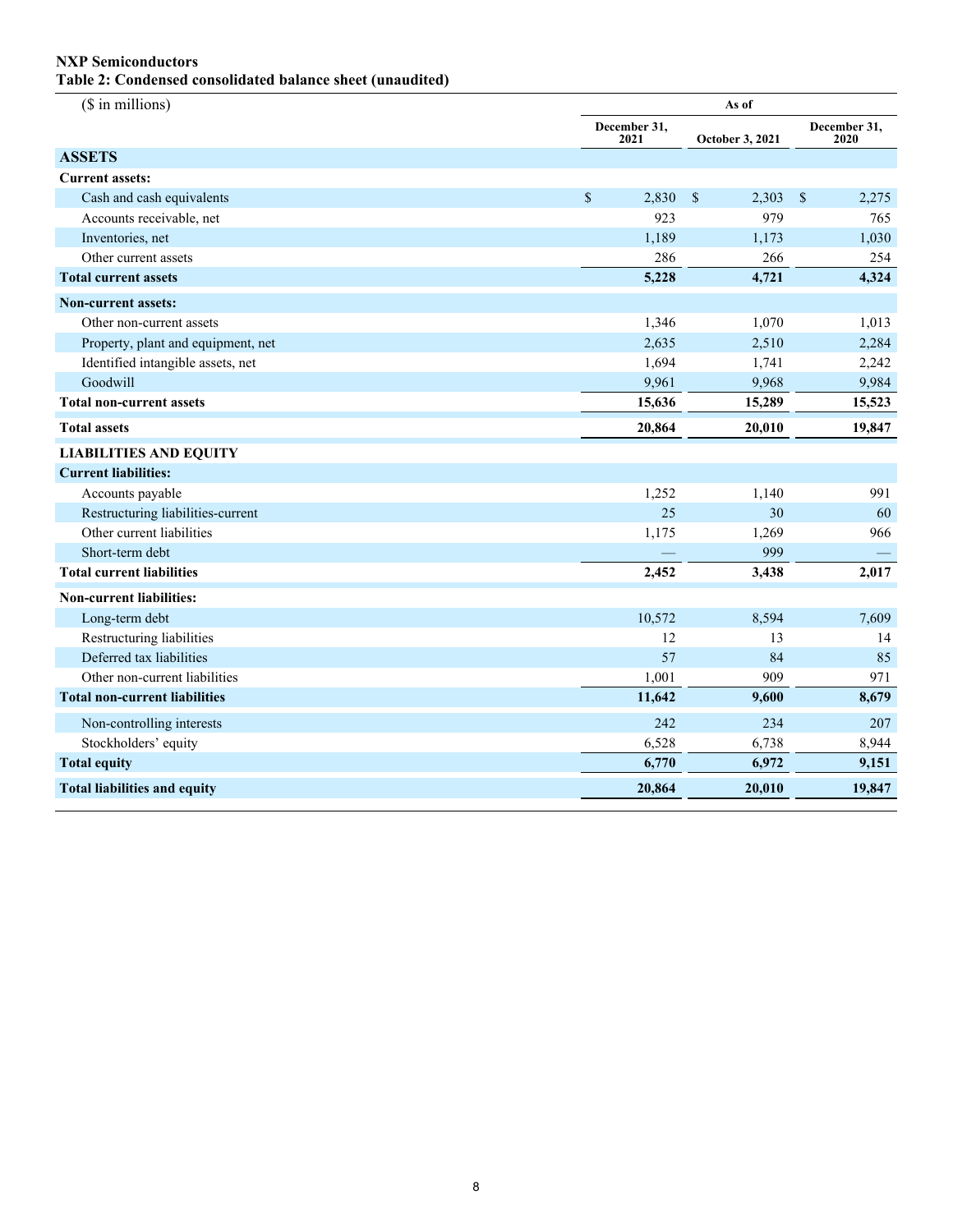**Table 2: Condensed consolidated balance sheet (unaudited)**

| (\$ in millions)                     | As of                |                        |                       |  |  |
|--------------------------------------|----------------------|------------------------|-----------------------|--|--|
|                                      | December 31,<br>2021 | <b>October 3, 2021</b> | December 31,<br>2020  |  |  |
| <b>ASSETS</b>                        |                      |                        |                       |  |  |
| <b>Current assets:</b>               |                      |                        |                       |  |  |
| Cash and cash equivalents            | $\$$<br>2,830        | $\mathbb{S}$<br>2,303  | $\mathbb{S}$<br>2,275 |  |  |
| Accounts receivable, net             | 923                  | 979                    | 765                   |  |  |
| Inventories, net                     | 1,189                | 1,173                  | 1,030                 |  |  |
| Other current assets                 | 286                  | 266                    | 254                   |  |  |
| <b>Total current assets</b>          | 5,228                | 4,721                  | 4,324                 |  |  |
| <b>Non-current assets:</b>           |                      |                        |                       |  |  |
| Other non-current assets             | 1,346                | 1,070                  | 1,013                 |  |  |
| Property, plant and equipment, net   | 2,635                | 2,510                  | 2,284                 |  |  |
| Identified intangible assets, net    | 1,694                | 1,741                  | 2,242                 |  |  |
| Goodwill                             | 9,961                | 9,968                  | 9,984                 |  |  |
| <b>Total non-current assets</b>      | 15,636               | 15,289                 | 15,523                |  |  |
| <b>Total assets</b>                  | 20,864               | 20,010                 | 19,847                |  |  |
| <b>LIABILITIES AND EQUITY</b>        |                      |                        |                       |  |  |
| <b>Current liabilities:</b>          |                      |                        |                       |  |  |
| Accounts payable                     | 1,252                | 1,140                  | 991                   |  |  |
| Restructuring liabilities-current    | 25                   | 30                     | 60                    |  |  |
| Other current liabilities            | 1,175                | 1,269                  | 966                   |  |  |
| Short-term debt                      |                      | 999                    |                       |  |  |
| <b>Total current liabilities</b>     | 2,452                | 3,438                  | 2,017                 |  |  |
| <b>Non-current liabilities:</b>      |                      |                        |                       |  |  |
| Long-term debt                       | 10,572               | 8,594                  | 7,609                 |  |  |
| Restructuring liabilities            | 12                   | 13                     | 14                    |  |  |
| Deferred tax liabilities             | 57                   | 84                     | 85                    |  |  |
| Other non-current liabilities        | 1,001                | 909                    | 971                   |  |  |
| <b>Total non-current liabilities</b> | 11,642               | 9,600                  | 8,679                 |  |  |
| Non-controlling interests            | 242                  | 234                    | 207                   |  |  |
| Stockholders' equity                 | 6,528                | 6,738                  | 8,944                 |  |  |
| <b>Total equity</b>                  | 6,770                | 6,972                  | 9,151                 |  |  |
| <b>Total liabilities and equity</b>  | 20,864               | 20,010                 | 19,847                |  |  |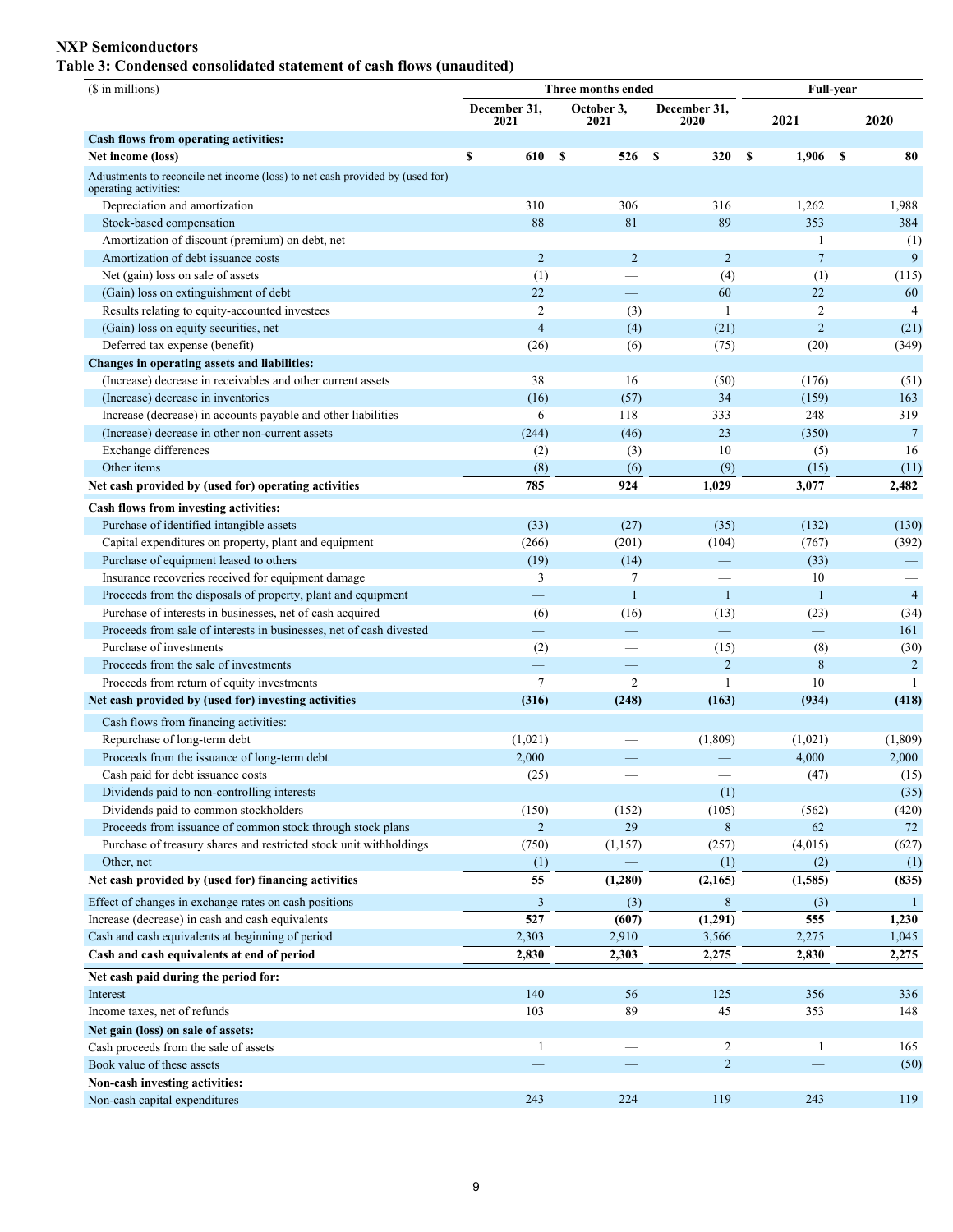# **Table 3: Condensed consolidated statement of cash flows (unaudited)**

| (\$ in millions)                                                                                       |   |                          |          | Three months ended       | Full-year            |                          |   |                          |    |                 |
|--------------------------------------------------------------------------------------------------------|---|--------------------------|----------|--------------------------|----------------------|--------------------------|---|--------------------------|----|-----------------|
|                                                                                                        |   | December 31,<br>2021     |          | October 3,<br>2021       | December 31,<br>2020 |                          |   | 2021                     |    | 2020            |
| Cash flows from operating activities:                                                                  |   |                          |          |                          |                      |                          |   |                          |    |                 |
| Net income (loss)                                                                                      | S | 610                      | <b>S</b> | 526                      | S                    | 320                      | S | 1,906                    | -S | 80              |
| Adjustments to reconcile net income (loss) to net cash provided by (used for)<br>operating activities: |   |                          |          |                          |                      |                          |   |                          |    |                 |
| Depreciation and amortization                                                                          |   | 310                      |          | 306                      |                      | 316                      |   | 1,262                    |    | 1,988           |
| Stock-based compensation                                                                               |   | 88                       |          | 81                       |                      | 89                       |   | 353                      |    | 384             |
| Amortization of discount (premium) on debt, net                                                        |   |                          |          |                          |                      |                          |   |                          |    | (1)             |
| Amortization of debt issuance costs                                                                    |   | $\overline{2}$           |          | $\overline{2}$           |                      | $\overline{2}$           |   | $7\phantom{.0}$          |    | 9               |
| Net (gain) loss on sale of assets                                                                      |   | (1)                      |          |                          |                      | (4)                      |   | (1)                      |    | (115)           |
| (Gain) loss on extinguishment of debt                                                                  |   | 22                       |          | $\overline{\phantom{0}}$ |                      | 60                       |   | 22                       |    | 60              |
| Results relating to equity-accounted investees                                                         |   | $\overline{c}$           |          | (3)                      |                      | -1                       |   | $\overline{2}$           |    | 4               |
| (Gain) loss on equity securities, net                                                                  |   | $\overline{4}$           |          | (4)                      |                      | (21)                     |   | $\overline{2}$           |    | (21)            |
| Deferred tax expense (benefit)                                                                         |   | (26)                     |          | (6)                      |                      | (75)                     |   | (20)                     |    | (349)           |
| Changes in operating assets and liabilities:                                                           |   |                          |          |                          |                      |                          |   |                          |    |                 |
| (Increase) decrease in receivables and other current assets                                            |   | 38                       |          | 16                       |                      | (50)                     |   | (176)                    |    | (51)            |
| (Increase) decrease in inventories                                                                     |   | (16)                     |          | (57)                     |                      | 34                       |   | (159)                    |    | 163             |
| Increase (decrease) in accounts payable and other liabilities                                          |   | 6                        |          | 118                      |                      | 333                      |   | 248                      |    | 319             |
| (Increase) decrease in other non-current assets                                                        |   | (244)                    |          | (46)                     |                      | 23                       |   | (350)                    |    | $7\phantom{.0}$ |
| Exchange differences                                                                                   |   | (2)                      |          | (3)                      |                      | 10                       |   | (5)                      |    | 16              |
| Other items                                                                                            |   | (8)                      |          | (6)                      |                      | (9)                      |   | (15)                     |    | (11)            |
| Net cash provided by (used for) operating activities                                                   |   | 785                      |          | 924                      |                      | 1,029                    |   | 3,077                    |    | 2,482           |
| Cash flows from investing activities:                                                                  |   |                          |          |                          |                      |                          |   |                          |    |                 |
| Purchase of identified intangible assets                                                               |   | (33)                     |          | (27)                     |                      | (35)                     |   | (132)                    |    | (130)           |
| Capital expenditures on property, plant and equipment                                                  |   | (266)                    |          | (201)                    |                      | (104)                    |   | (767)                    |    | (392)           |
| Purchase of equipment leased to others                                                                 |   | (19)                     |          | (14)                     |                      | $\overline{\phantom{m}}$ |   | (33)                     |    | -               |
| Insurance recoveries received for equipment damage                                                     |   | 3                        |          | 7                        |                      |                          |   | 10                       |    |                 |
| Proceeds from the disposals of property, plant and equipment                                           |   |                          |          | $\mathbf{1}$             |                      | $\mathbf{1}$             |   | $\mathbf{1}$             |    | $\overline{4}$  |
| Purchase of interests in businesses, net of cash acquired                                              |   | (6)                      |          | (16)                     |                      | (13)                     |   | (23)                     |    | (34)            |
| Proceeds from sale of interests in businesses, net of cash divested                                    |   | $\overline{\phantom{0}}$ |          | $\hspace{0.05cm}$        |                      | $\equiv$                 |   | $\equiv$                 |    | 161             |
| Purchase of investments                                                                                |   | (2)                      |          |                          |                      | (15)                     |   | (8)                      |    | (30)            |
| Proceeds from the sale of investments                                                                  |   | د                        |          | $\overline{\phantom{a}}$ |                      | $\overline{2}$           |   | 8                        |    | $\overline{c}$  |
| Proceeds from return of equity investments                                                             |   | 7                        |          | $\overline{2}$           |                      | $\mathbf{1}$             |   | 10                       |    | -1              |
| Net cash provided by (used for) investing activities                                                   |   | (316)                    |          | (248)                    |                      | (163)                    |   | (934)                    |    | (418)           |
| Cash flows from financing activities:                                                                  |   |                          |          |                          |                      |                          |   |                          |    |                 |
| Repurchase of long-term debt                                                                           |   | (1,021)                  |          |                          |                      | (1,809)                  |   | (1,021)                  |    | (1,809)         |
| Proceeds from the issuance of long-term debt                                                           |   | 2,000                    |          |                          |                      |                          |   | 4,000                    |    | 2,000           |
| Cash paid for debt issuance costs                                                                      |   | (25)                     |          |                          |                      |                          |   | (47)                     |    | (15)            |
| Dividends paid to non-controlling interests                                                            |   |                          |          | $\overline{\phantom{m}}$ |                      | (1)                      |   | $\overline{\phantom{0}}$ |    | (35)            |
| Dividends paid to common stockholders                                                                  |   | (150)                    |          | (152)                    |                      | (105)                    |   | (562)                    |    | (420)           |
| Proceeds from issuance of common stock through stock plans                                             |   | $\overline{2}$           |          | 29                       |                      | 8                        |   | 62                       |    | 72              |
| Purchase of treasury shares and restricted stock unit withholdings                                     |   | (750)                    |          | (1,157)                  |                      | (257)                    |   | (4,015)                  |    | (627)           |
| Other, net                                                                                             |   | (1)                      |          | $\overline{\phantom{0}}$ |                      | (1)                      |   | (2)                      |    | (1)             |
| Net cash provided by (used for) financing activities                                                   |   | 55                       |          | (1,280)                  |                      | (2,165)                  |   | (1, 585)                 |    | (835)           |
| Effect of changes in exchange rates on cash positions                                                  |   | 3                        |          | (3)                      |                      | 8                        |   | (3)                      |    | -1              |
| Increase (decrease) in cash and cash equivalents                                                       |   | 527                      |          | (607)                    |                      | (1,291)                  |   | 555                      |    | 1,230           |
| Cash and cash equivalents at beginning of period                                                       |   | 2,303                    |          | 2,910                    |                      | 3,566                    |   | 2,275                    |    | 1,045           |
| Cash and cash equivalents at end of period                                                             |   | 2,830                    |          | 2,303                    |                      | 2,275                    |   | 2,830                    |    | 2,275           |
| Net cash paid during the period for:                                                                   |   |                          |          |                          |                      |                          |   |                          |    |                 |
| Interest                                                                                               |   | 140                      |          | 56                       |                      | 125                      |   | 356                      |    | 336             |
| Income taxes, net of refunds                                                                           |   | 103                      |          | 89                       |                      | 45                       |   | 353                      |    | 148             |
| Net gain (loss) on sale of assets:                                                                     |   |                          |          |                          |                      |                          |   |                          |    |                 |
| Cash proceeds from the sale of assets                                                                  |   | $\mathbf{1}$             |          |                          |                      | $\overline{c}$           |   | $\mathbf{1}$             |    | 165             |
| Book value of these assets                                                                             |   |                          |          |                          |                      | $\overline{2}$           |   |                          |    | (50)            |
| Non-cash investing activities:                                                                         |   |                          |          |                          |                      |                          |   |                          |    |                 |
| Non-cash capital expenditures                                                                          |   | 243                      |          | 224                      |                      | 119                      |   | 243                      |    | 119             |
|                                                                                                        |   |                          |          |                          |                      |                          |   |                          |    |                 |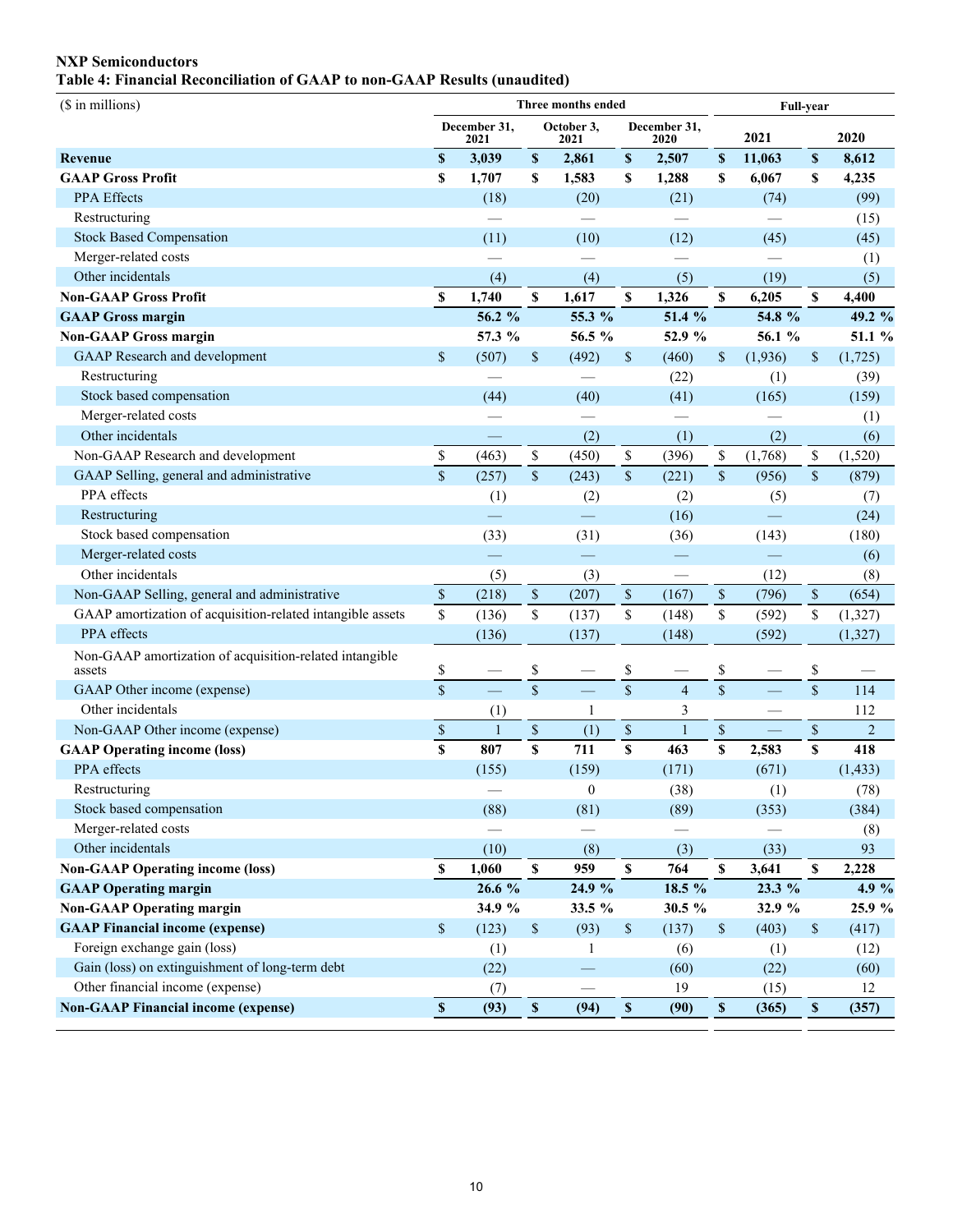**Table 4: Financial Reconciliation of GAAP to non-GAAP Results (unaudited)**

| (\$ in millions)                                                  | Three months ended                                                    |                      |                         |                          |                    |                      | Full-year               |         |                    |                |  |
|-------------------------------------------------------------------|-----------------------------------------------------------------------|----------------------|-------------------------|--------------------------|--------------------|----------------------|-------------------------|---------|--------------------|----------------|--|
|                                                                   |                                                                       | December 31,<br>2021 |                         | October 3,<br>2021       |                    | December 31,<br>2020 |                         | 2021    |                    | 2020           |  |
| Revenue                                                           | $\mathbf S$                                                           | 3,039                | $\mathbf S$             | 2,861                    | \$                 | 2,507                | $\mathbf{s}$            | 11,063  | $\mathbf{s}$       | 8,612          |  |
| <b>GAAP Gross Profit</b>                                          | \$                                                                    | 1,707                | \$                      | 1,583                    | \$                 | 1,288                | \$                      | 6,067   | \$                 | 4,235          |  |
| <b>PPA</b> Effects                                                |                                                                       | (18)                 |                         | (20)                     |                    | (21)                 |                         | (74)    |                    | (99)           |  |
| Restructuring                                                     |                                                                       |                      |                         |                          |                    |                      |                         |         |                    | (15)           |  |
| <b>Stock Based Compensation</b>                                   |                                                                       | (11)                 |                         | (10)                     |                    | (12)                 |                         | (45)    |                    | (45)           |  |
| Merger-related costs                                              |                                                                       |                      |                         |                          |                    |                      |                         |         |                    | (1)            |  |
| Other incidentals                                                 |                                                                       | (4)                  |                         | (4)                      |                    | (5)                  |                         | (19)    |                    | (5)            |  |
| <b>Non-GAAP Gross Profit</b>                                      | $\mathbb S$                                                           | 1,740                | \$                      | 1,617                    | \$                 | 1,326                | \$                      | 6,205   | \$                 | 4,400          |  |
| <b>GAAP Gross margin</b>                                          |                                                                       | 56.2 %               |                         | 55.3 %                   |                    | 51.4 %               |                         | 54.8 %  |                    | 49.2 %         |  |
| <b>Non-GAAP Gross margin</b>                                      |                                                                       | 57.3 %               |                         | 56.5 %                   |                    | 52.9 %               |                         | 56.1 %  |                    | 51.1 %         |  |
| <b>GAAP</b> Research and development                              | $\$$                                                                  | (507)                | \$                      | (492)                    | \$                 | (460)                | \$                      | (1,936) | \$                 | (1, 725)       |  |
| Restructuring                                                     |                                                                       |                      |                         |                          |                    | (22)                 |                         | (1)     |                    | (39)           |  |
| Stock based compensation                                          |                                                                       | (44)                 |                         | (40)                     |                    | (41)                 |                         | (165)   |                    | (159)          |  |
| Merger-related costs                                              |                                                                       |                      |                         |                          |                    |                      |                         |         |                    | (1)            |  |
| Other incidentals                                                 |                                                                       |                      |                         | (2)                      |                    | (1)                  |                         | (2)     |                    | (6)            |  |
| Non-GAAP Research and development                                 | $\mathbb S$                                                           | (463)                | \$                      | (450)                    | \$                 | (396)                | \$                      | (1,768) | \$                 | (1,520)        |  |
| GAAP Selling, general and administrative                          | $\mathbf{\hat{S}}$                                                    | (257)                | \$                      | (243)                    | \$                 | (221)                | $\mathbf{\hat{S}}$      | (956)   | \$                 | (879)          |  |
| PPA effects                                                       |                                                                       | (1)                  |                         | (2)                      |                    | (2)                  |                         | (5)     |                    | (7)            |  |
| Restructuring                                                     |                                                                       |                      |                         |                          |                    | (16)                 |                         |         |                    | (24)           |  |
| Stock based compensation                                          |                                                                       | (33)                 |                         | (31)                     |                    | (36)                 |                         | (143)   |                    | (180)          |  |
| Merger-related costs                                              |                                                                       |                      |                         | $\equiv$                 |                    | -                    |                         |         |                    | (6)            |  |
| Other incidentals                                                 |                                                                       | (5)                  |                         | (3)                      |                    |                      |                         | (12)    |                    | (8)            |  |
| Non-GAAP Selling, general and administrative                      | $\sqrt{\frac{1}{2}}$                                                  | (218)                | $\$$                    | (207)                    | \$                 | (167)                | $\mathbb S$             | (796)   | $\$$               | (654)          |  |
| GAAP amortization of acquisition-related intangible assets        | $\overline{\mathbb{S}}$                                               | (136)                | \$                      | (137)                    | \$                 | (148)                | \$                      | (592)   | \$                 | (1, 327)       |  |
| PPA effects                                                       |                                                                       | (136)                |                         | (137)                    |                    | (148)                |                         | (592)   |                    | (1,327)        |  |
| Non-GAAP amortization of acquisition-related intangible<br>assets | $\mathbb{S}% _{t}\left( t\right) \equiv\mathbb{S}_{t}\left( t\right)$ |                      | \$                      |                          | \$                 |                      | \$                      |         | \$                 |                |  |
| GAAP Other income (expense)                                       | $\overline{\$}$                                                       |                      | $\overline{\mathsf{s}}$ |                          | $\mathbf{\hat{S}}$ | $\overline{4}$       | $\overline{\mathbb{S}}$ |         | $\overline{\$}$    | 114            |  |
| Other incidentals                                                 |                                                                       | (1)                  |                         | 1                        |                    | 3                    |                         |         |                    | 112            |  |
| Non-GAAP Other income (expense)                                   |                                                                       | $\mathbf{1}$         | $\$$                    | (1)                      | $\$$               | $\mathbf{1}$         | $\$$                    |         | $\$$               | $\overline{2}$ |  |
| <b>GAAP Operating income (loss)</b>                               | $rac{s}{s}$                                                           | 807                  | \$                      | 711                      | \$                 | 463                  | $\mathbf S$             | 2,583   | $\mathbf S$        | 418            |  |
| PPA effects                                                       |                                                                       | (155)                |                         | (159)                    |                    | (171)                |                         | (671)   |                    | (1, 433)       |  |
| Restructuring                                                     |                                                                       |                      |                         | $\boldsymbol{0}$         |                    | (38)                 |                         | (1)     |                    | (78)           |  |
| Stock based compensation                                          |                                                                       | (88)                 |                         | (81)                     |                    | (89)                 |                         | (353)   |                    | (384)          |  |
| Merger-related costs                                              |                                                                       |                      |                         | $\overline{\phantom{0}}$ |                    |                      |                         |         |                    | (8)            |  |
| Other incidentals                                                 |                                                                       | (10)                 |                         | (8)                      |                    | (3)                  |                         | (33)    |                    | 93             |  |
| <b>Non-GAAP Operating income (loss)</b>                           | \$                                                                    | 1,060                | $\boldsymbol{\$}$       | 959                      | \$                 | 764                  | \$                      | 3,641   | \$                 | 2,228          |  |
| <b>GAAP Operating margin</b>                                      |                                                                       | 26.6 %               |                         | 24.9 %                   |                    | 18.5 %               |                         | 23.3 %  |                    | 4.9 %          |  |
| <b>Non-GAAP Operating margin</b>                                  |                                                                       | 34.9 %               |                         | 33.5 %                   |                    | 30.5 %               |                         | 32.9 %  |                    | 25.9 %         |  |
| <b>GAAP Financial income (expense)</b>                            | $\$$                                                                  | (123)                | \$                      | (93)                     | $\$$               | (137)                | \$                      | (403)   | $\$$               | (417)          |  |
| Foreign exchange gain (loss)                                      |                                                                       | (1)                  |                         | 1                        |                    | (6)                  |                         | (1)     |                    | (12)           |  |
| Gain (loss) on extinguishment of long-term debt                   |                                                                       | (22)                 |                         |                          |                    | (60)                 |                         | (22)    |                    | (60)           |  |
| Other financial income (expense)                                  |                                                                       | (7)                  |                         |                          |                    | 19                   |                         | (15)    |                    | 12             |  |
| <b>Non-GAAP Financial income (expense)</b>                        | $\mathbb S$                                                           | (93)                 | $\mathbb S$             | (94)                     | $\mathbb S$        | (90)                 | $\pmb{\mathbb{S}}$      | (365)   | $\pmb{\mathbb{S}}$ | (357)          |  |